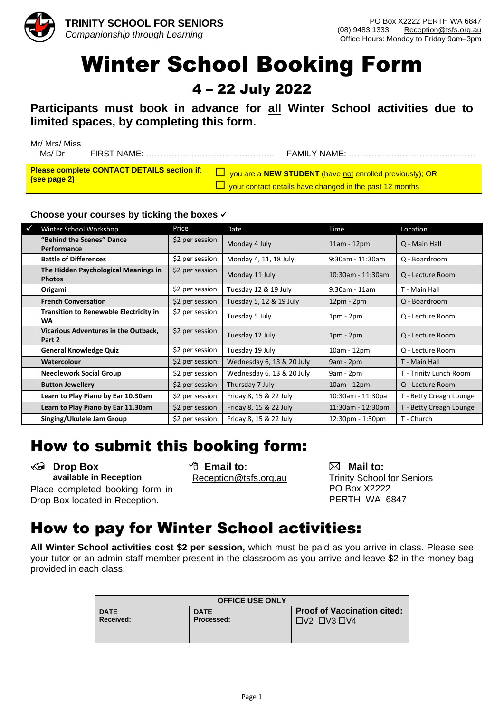

# Winter School Booking Form

4 – 22 July 2022

**Participants must book in advance for all Winter School activities due to limited spaces, by completing this form.**

l

| Mr/ Mrs/ Miss<br>Ms/ Dr                            | FIRST NAME: | <b>FAMILY NAME:</b>                                                    |  |
|----------------------------------------------------|-------------|------------------------------------------------------------------------|--|
| <b>Please complete CONTACT DETAILS section if:</b> |             | $\Box$ you are a <b>NEW STUDENT</b> (have not enrolled previously); OR |  |
| (see page 2)                                       |             | $\Box$ your contact details have changed in the past 12 months         |  |

#### **Choose your courses by ticking the boxes** ✓

| $\checkmark$ | Winter School Workshop                                     | Price           | Date                      | Time              | Location                |
|--------------|------------------------------------------------------------|-----------------|---------------------------|-------------------|-------------------------|
|              | "Behind the Scenes" Dance<br><b>Performance</b>            | \$2 per session | Monday 4 July             | $11am - 12pm$     | Q - Main Hall           |
|              | <b>Battle of Differences</b>                               | \$2 per session | Monday 4, 11, 18 July     | 9:30am - 11:30am  | Q - Boardroom           |
|              | The Hidden Psychological Meanings in<br><b>Photos</b>      | \$2 per session | Monday 11 July            | 10:30am - 11:30am | Q - Lecture Room        |
|              | Origami                                                    | \$2 per session | Tuesday 12 & 19 July      | $9:30$ am - 11am  | T - Main Hall           |
|              | <b>French Conversation</b>                                 | \$2 per session | Tuesday 5, 12 & 19 July   | $12pm - 2pm$      | Q - Boardroom           |
|              | <b>Transition to Renewable Electricity in</b><br><b>WA</b> | \$2 per session | Tuesday 5 July            | $1pm - 2pm$       | Q - Lecture Room        |
|              | Vicarious Adventures in the Outback,<br>Part 2             | \$2 per session | Tuesday 12 July           | $1pm - 2pm$       | Q - Lecture Room        |
|              | <b>General Knowledge Quiz</b>                              | \$2 per session | Tuesday 19 July           | 10am - 12pm       | Q - Lecture Room        |
|              | Watercolour                                                | \$2 per session | Wednesday 6, 13 & 20 July | $9am - 2pm$       | T - Main Hall           |
|              | <b>Needlework Social Group</b>                             | \$2 per session | Wednesday 6, 13 & 20 July | $9am - 2pm$       | T - Trinity Lunch Room  |
|              | <b>Button Jewellery</b>                                    | \$2 per session | Thursday 7 July           | 10am - 12pm       | Q - Lecture Room        |
|              | Learn to Play Piano by Ear 10.30am                         | \$2 per session | Friday 8, 15 & 22 July    | 10:30am - 11:30pa | T - Betty Creagh Lounge |
|              | Learn to Play Piano by Ear 11.30am                         | \$2 per session | Friday 8, 15 & 22 July    | 11:30am - 12:30pm | T - Betty Creagh Lounge |
|              | Singing/Ukulele Jam Group                                  | \$2 per session | Friday 8, 15 & 22 July    | 12:30pm - 1:30pm  | T - Church              |

### How to submit this booking form:

**Drop Box C Constant Constant Constant Constant Constant Propose available in Reception <b>Constant Constant Constant Constant Constant Constant Constant Constant Constant Constant Prinity School available in Reception Reception Reception @tsfs.org.au** Trinity School for Seniors Place completed booking form in Drop Box located in Reception.

PO Box X2222 PERTH WA 6847

### How to pay for Winter School activities:

**All Winter School activities cost \$2 per session,** which must be paid as you arrive in class. Please see your tutor or an admin staff member present in the classroom as you arrive and leave \$2 in the money bag provided in each class.

| <b>OFFICE USE ONLY</b> |             |                                                                   |  |  |  |  |
|------------------------|-------------|-------------------------------------------------------------------|--|--|--|--|
| <b>DATE</b>            | <b>DATE</b> | <b>Proof of Vaccination cited:</b>                                |  |  |  |  |
| Received:              | Processed:  | $\Box$ V <sub>2</sub> $\Box$ V <sub>3</sub> $\Box$ V <sub>4</sub> |  |  |  |  |